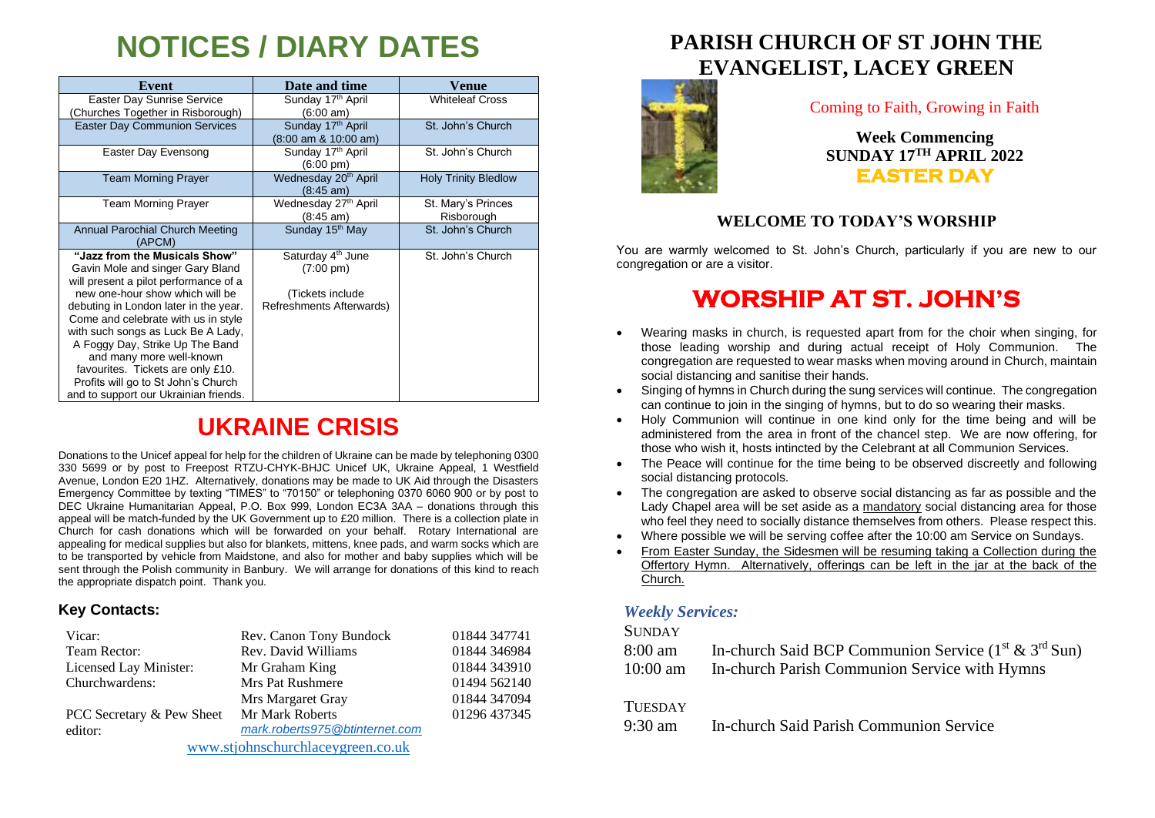# **NOTICES / DIARY DATES**

| Event                                                                                                                                                                                                                                                                                                  | Date and time                                                                                         | Venue                            |
|--------------------------------------------------------------------------------------------------------------------------------------------------------------------------------------------------------------------------------------------------------------------------------------------------------|-------------------------------------------------------------------------------------------------------|----------------------------------|
| Easter Day Sunrise Service                                                                                                                                                                                                                                                                             | Sunday 17th April                                                                                     | <b>Whiteleaf Cross</b>           |
| Churches Together in Risborough)<br><b>Easter Day Communion Services</b>                                                                                                                                                                                                                               | (6:00 am)<br>Sunday 17th April<br>$(8:00 \text{ am } 8:10:00 \text{ am})$                             | St. John's Church                |
| Easter Day Evensong                                                                                                                                                                                                                                                                                    | Sunday 17th April<br>(6:00 pm)                                                                        | St. John's Church                |
| <b>Team Morning Prayer</b>                                                                                                                                                                                                                                                                             | Wednesday 20 <sup>th</sup> April<br>$(8:45 \text{ am})$                                               | <b>Holy Trinity Bledlow</b>      |
| <b>Team Morning Prayer</b>                                                                                                                                                                                                                                                                             | Wednesday 27 <sup>th</sup> April<br>$(8:45 \text{ am})$                                               | St. Mary's Princes<br>Risborough |
| Annual Parochial Church Meeting<br>(APCM)                                                                                                                                                                                                                                                              | Sunday 15 <sup>th</sup> May                                                                           | St. John's Church                |
| "Jazz from the Musicals Show"<br>Gavin Mole and singer Gary Bland<br>will present a pilot performance of a<br>new one-hour show which will be<br>debuting in London later in the year.<br>Come and celebrate with us in style<br>with such songs as Luck Be A Lady,<br>A Foggy Day, Strike Up The Band | Saturday 4 <sup>th</sup> June<br>$(7:00 \text{ pm})$<br>(Tickets include)<br>Refreshments Afterwards) | St. John's Church                |
| and many more well-known<br>favourites. Tickets are only £10.<br>Profits will go to St John's Church<br>and to support our Ukrainian friends.                                                                                                                                                          |                                                                                                       |                                  |

## **UKRAINE CRISIS**

Donations to the Unicef appeal for help for the children of Ukraine can be made by telephoning 0300 330 5699 or by post to Freepost RTZU-CHYK-BHJC Unicef UK, Ukraine Appeal, 1 Westfield Avenue, London E20 1HZ. Alternatively, donations may be made to UK Aid through the Disasters Emergency Committee by texting "TIMES" to "70150" or telephoning 0370 6060 900 or by post to DEC Ukraine Humanitarian Appeal, P.O. Box 999, London EC3A 3AA – donations through this appeal will be match-funded by the UK Government up to £20 million. There is a collection plate in Church for cash donations which will be forwarded on your behalf. Rotary International are appealing for medical supplies but also for blankets, mittens, knee pads, and warm socks which are to be transported by vehicle from Maidstone, and also for mother and baby supplies which will be sent through the Polish community in Banbury. We will arrange for donations of this kind to reach the appropriate dispatch point. Thank you.

### **Key Contacts:**

| Vicar:                            | Rev. Canon Tony Bundock        | 01844 347741 |
|-----------------------------------|--------------------------------|--------------|
| Team Rector:                      | Rev. David Williams            | 01844 346984 |
| Licensed Lay Minister:            | Mr Graham King                 | 01844 343910 |
| Churchwardens:                    | Mrs Pat Rushmere               | 01494 562140 |
|                                   | Mrs Margaret Gray              | 01844 347094 |
| PCC Secretary & Pew Sheet         | Mr Mark Roberts                | 01296 437345 |
| editor:                           | mark.roberts975@btinternet.com |              |
| www.stjohnschurchlaceygreen.co.uk |                                |              |

## **PARISH CHURCH OF ST JOHN THE EVANGELIST, LACEY GREEN**



### Coming to Faith, Growing in Faith

**Week Commencing SUNDAY 17 TH APRIL 2022 EASTER DAY** 

### **WELCOME TO TODAY'S WORSHIP**

You are warmly welcomed to St. John's Church, particularly if you are new to our congregation or are a visitor.

## **WORSHIP AT ST. JOHN'S**

- Wearing masks in church, is requested apart from for the choir when singing, for those leading worship and during actual receipt of Holy Communion. The congregation are requested to wear masks when moving around in Church, maintain social distancing and sanitise their hands.
- Singing of hymns in Church during the sung services will continue. The congregation can continue to join in the singing of hymns, but to do so wearing their masks.
- Holy Communion will continue in one kind only for the time being and will be administered from the area in front of the chancel step. We are now offering, for those who wish it, hosts intincted by the Celebrant at all Communion Services.
- The Peace will continue for the time being to be observed discreetly and following social distancing protocols.
- The congregation are asked to observe social distancing as far as possible and the Lady Chapel area will be set aside as a mandatory social distancing area for those who feel they need to socially distance themselves from others. Please respect this.
- Where possible we will be serving coffee after the 10:00 am Service on Sundays.
- From Easter Sunday, the Sidesmen will be resuming taking a Collection during the Offertory Hymn. Alternatively, offerings can be left in the jar at the back of the Church.

### *Weekly Services:*

#### **SUNDAY**

| 8:00 am    | In-church Said BCP Communion Service $(1^{st} \& 3^{rd} Sun)$ |
|------------|---------------------------------------------------------------|
| $10:00$ am | In-church Parish Communion Service with Hymns                 |

### **TUESDAY**

9:30 am In-church Said Parish Communion Service